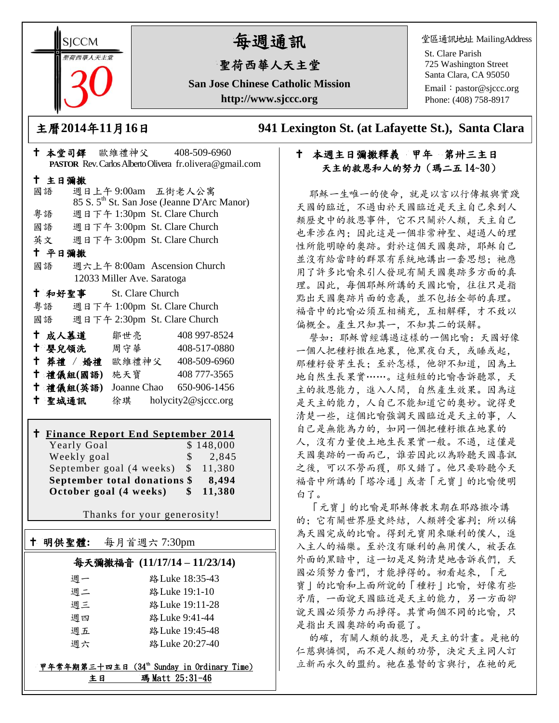**SICCM** 荷西華人天主名

# 每週通訊

# 聖荷西華人天主堂

**San Jose Chinese Catholic Mission http://www.sjccc.org**

堂區通訊地址 MailingAddress

St. Clare Parish 725 Washington Street Santa Clara, CA 95050

Email: [pastor@sjccc.org](mailto:pastor@sjccc.org) Phone: (408) 758-8917

主曆**2014**年**11**月**16**日 **941 Lexington St. (at Lafayette St.), Santa Clara** 

# 十 本週主日彌撒釋義 甲年 第卅三主日 天主的救恩和人的努力(瑪二五 14~30)

耶穌一生唯一的使命,就是以言以行傳報與實踐 天國的臨近,不過由於天國臨近是天主自己來到人 類歷史中的救恩事件,它不只關於人類,天主自己 也牽涉在內;因此這是一個非常神聖、超過人的理 性所能明瞭的奧跡。對於這個天國奧跡,耶穌自己 並沒有給當時的群眾有系統地講出一套思想: 祂應 用了許多比喻來引人發現有關天國奧跡多方面的真 理。因此,每個耶穌所講的天國比喻,往往只是指 點出天國奧跡片面的意義,並不包括全部的真理。 福音中的比喻必須互相補充,互相解釋,才不致以 偏概全。產生只知其一,不知其二的誤解。

譬如:耶穌曾經講過這樣的一個比喻:天國好像 一個人把種籽撒在地裏,他黑夜白天,或睡或起, 那種籽發芽生長;至於怎樣,他卻不知道,因為土 地自然生長果實……。這短短的比喻告訴聽眾,天 主的救恩能力,進入人間,自然產生效果。因為這 是天主的能力,人自己不能知道它的奧妙。說得更 清楚一些,這個比喻強調天國臨近是天主的事,人 自己是無能為力的,如同一個把種籽撒在地裏的 人,沒有力量使土地生長果實一般。不過,這僅是 天國奧跡的一面而已,誰若因此以為聆聽天國喜訊 之後,可以不勞而獲,那又錯了。他只要聆聽今天 福音中所講的「塔冷通」或者「元寶」的比喻便明 白了。

「元寶」的比喻是耶穌傳教末期在耶路撒冷講 的;它有關世界歷史終結,人類將受審判;所以稱 為天國完成的比喻。得到元寶用來賺利的僕人,進 入主人的福樂。至於沒有賺利的無用僕人,被丟在 外面的黑暗中,這一切是足夠清楚地告訴我們,天 國必須努力奮鬥,才能掙得的。初看起來,「元 寶」的比喻和上面所說的「種籽」比喻,好像有些 矛盾,一面說天國臨近是天主的能力,另一方面卻 說天國必須勞力而掙得。其實兩個不同的比喻,只 是指出天國奧跡的兩面罷了。

的確,有關人類的救恩,是天主的計畫。是祂的 仁慈與憐憫,而不是人類的功勞,決定天主同人訂 立新而永久的盟約。祂在基督的言與行,在祂的死

|        |        |                         |                            |  | PASTOR Rev. Carlos Alberto Olivera fr. olivera@gmail.com |  |  |  |
|--------|--------|-------------------------|----------------------------|--|----------------------------------------------------------|--|--|--|
| 十 主日彌撒 |        |                         |                            |  |                                                          |  |  |  |
|        | 國語     |                         |                            |  | 週日上午9:00am 五街老人公寓                                        |  |  |  |
|        |        |                         |                            |  | 85 S. 5 <sup>th</sup> St. San Jose (Jeanne D'Arc Manor)  |  |  |  |
|        |        |                         |                            |  | 粤語 週日下午 1:30pm St. Clare Church                          |  |  |  |
|        |        |                         |                            |  | 國語 週日下午 3:00pm St. Clare Church                          |  |  |  |
|        |        |                         |                            |  | 英文 週日下午 3:00pm St. Clare Church                          |  |  |  |
|        | 十 平日彌撒 |                         |                            |  |                                                          |  |  |  |
|        | 國語     |                         |                            |  | 週六上午 8:00am Ascension Church                             |  |  |  |
|        |        |                         | 12033 Miller Ave. Saratoga |  |                                                          |  |  |  |
|        |        | + 和好聖事 St. Clare Church |                            |  |                                                          |  |  |  |
|        |        |                         |                            |  | 粤語 週日下午 1:00pm St. Clare Church                          |  |  |  |
|        |        |                         |                            |  | 國語 週日下午 2:30pm St. Clare Church                          |  |  |  |
|        |        | † 成人慕道   鄒世亮            |                            |  | 408 997-8524                                             |  |  |  |
|        |        |                         |                            |  | <sup>†</sup> 嬰兒領洗 周守華 408-517-0880                       |  |  |  |
|        |        |                         |                            |  | † 葬禮 / 婚禮 歐維禮神父 408-509-6960                             |  |  |  |
|        |        | 十 禮儀組(國語) 施天寶           |                            |  | 408 777-3565                                             |  |  |  |
|        |        | 十 禮儀組(英語)               |                            |  | Joanne Chao 650-906-1456                                 |  |  |  |
|        | 十 聖城通訊 |                         |                            |  | 徐琪 holycity2@sjccc.org                                   |  |  |  |

本堂司鐸 歐維禮神父 408-509-6960

#### **Finance Report End September 2014**  $V_{\text{c}} \sim 1 - G \sim 1$

| October goal (4 weeks)       | SS.   | 11,380    |
|------------------------------|-------|-----------|
| September total donations \$ | 8.494 |           |
| September goal (4 weeks) \$  |       | 11.380    |
| Weekly goal                  | S.    | 2.845     |
| really Goal                  |       | 0.140,000 |

Thanks for your generosity!

# 明供聖體**:** 每月首週六 7:30pm

Ξ

### 每天彌撒福音 **(11/17/14 – 11/23/14)**

| 调一 | 路 Luke 18:35-43 |
|----|-----------------|
| 週二 | 路 Luke 19:1-10  |
| 调三 | 路 Luke 19:11-28 |
| 调四 | 路 Luke 9:41-44  |
| 调五 | 路 Luke 19:45-48 |
| 调六 | 路 Luke 20:27-40 |

#### 甲年常年期第三十四主日 (34th Sunday in Ordinary Time) 主日 瑪 Matt 25:31-46